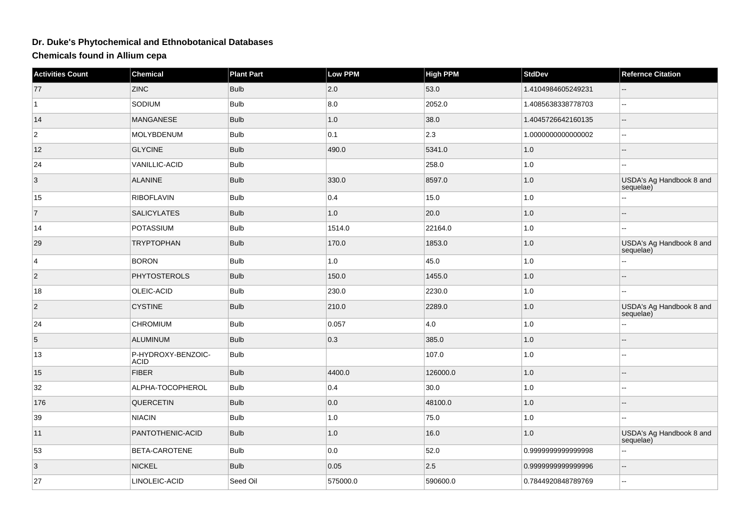## **Dr. Duke's Phytochemical and Ethnobotanical Databases**

**Chemicals found in Allium cepa**

| <b>Activities Count</b> | Chemical                          | <b>Plant Part</b> | Low PPM  | <b>High PPM</b> | <b>StdDev</b>      | <b>Refernce Citation</b>              |
|-------------------------|-----------------------------------|-------------------|----------|-----------------|--------------------|---------------------------------------|
| 77                      | <b>ZINC</b>                       | <b>Bulb</b>       | 2.0      | 53.0            | 1.4104984605249231 |                                       |
| $\vert$ 1               | SODIUM                            | <b>Bulb</b>       | 8.0      | 2052.0          | 1.4085638338778703 | $\overline{a}$                        |
| 14                      | <b>MANGANESE</b>                  | <b>Bulb</b>       | 1.0      | 38.0            | 1.4045726642160135 | Ξ.                                    |
| $\overline{c}$          | MOLYBDENUM                        | <b>Bulb</b>       | 0.1      | $ 2.3\rangle$   | 1.000000000000002  | Ξ.                                    |
| 12                      | <b>GLYCINE</b>                    | <b>Bulb</b>       | 490.0    | 5341.0          | 1.0                |                                       |
| 24                      | VANILLIC-ACID                     | <b>Bulb</b>       |          | 258.0           | $1.0\,$            | $\overline{a}$                        |
| $\overline{3}$          | <b>ALANINE</b>                    | <b>Bulb</b>       | 330.0    | 8597.0          | $1.0$              | USDA's Ag Handbook 8 and<br>sequelae) |
| 15                      | <b>RIBOFLAVIN</b>                 | <b>Bulb</b>       | 0.4      | 15.0            | 1.0                |                                       |
| $\vert$ 7               | <b>SALICYLATES</b>                | <b>Bulb</b>       | 1.0      | 20.0            | $1.0$              |                                       |
| 14                      | POTASSIUM                         | <b>Bulb</b>       | 1514.0   | 22164.0         | $1.0\,$            |                                       |
| 29                      | <b>TRYPTOPHAN</b>                 | <b>Bulb</b>       | 170.0    | 1853.0          | $1.0\,$            | USDA's Ag Handbook 8 and<br>sequelae) |
| $\overline{4}$          | <b>BORON</b>                      | <b>Bulb</b>       | 1.0      | 45.0            | 1.0                |                                       |
| $ 2\rangle$             | PHYTOSTEROLS                      | <b>Bulb</b>       | 150.0    | 1455.0          | $1.0$              |                                       |
| 18                      | OLEIC-ACID                        | <b>Bulb</b>       | 230.0    | 2230.0          | $1.0\,$            |                                       |
| $\overline{2}$          | <b>CYSTINE</b>                    | <b>Bulb</b>       | 210.0    | 2289.0          | $1.0\,$            | USDA's Ag Handbook 8 and<br>sequelae) |
| 24                      | <b>CHROMIUM</b>                   | <b>Bulb</b>       | 0.057    | 4.0             | $1.0\,$            |                                       |
| $5\phantom{.0}$         | <b>ALUMINUM</b>                   | <b>Bulb</b>       | 0.3      | 385.0           | $1.0$              |                                       |
| 13                      | P-HYDROXY-BENZOIC-<br><b>ACID</b> | <b>Bulb</b>       |          | 107.0           | $1.0\,$            |                                       |
| 15                      | <b>FIBER</b>                      | <b>Bulb</b>       | 4400.0   | 126000.0        | 1.0                |                                       |
| 32                      | ALPHA-TOCOPHEROL                  | <b>Bulb</b>       | 0.4      | 30.0            | 1.0                | --                                    |
| 176                     | <b>QUERCETIN</b>                  | <b>Bulb</b>       | 0.0      | 48100.0         | $1.0\,$            |                                       |
| 39                      | <b>NIACIN</b>                     | <b>Bulb</b>       | 1.0      | 75.0            | $1.0\,$            | --                                    |
| 11                      | PANTOTHENIC-ACID                  | <b>Bulb</b>       | 1.0      | 16.0            | 1.0                | USDA's Ag Handbook 8 and<br>sequelae) |
| 53                      | BETA-CAROTENE                     | <b>Bulb</b>       | 0.0      | 52.0            | 0.999999999999998  |                                       |
| 3                       | <b>NICKEL</b>                     | <b>Bulb</b>       | 0.05     | 2.5             | 0.999999999999996  | --                                    |
| 27                      | LINOLEIC-ACID                     | Seed Oil          | 575000.0 | 590600.0        | 0.7844920848789769 | --                                    |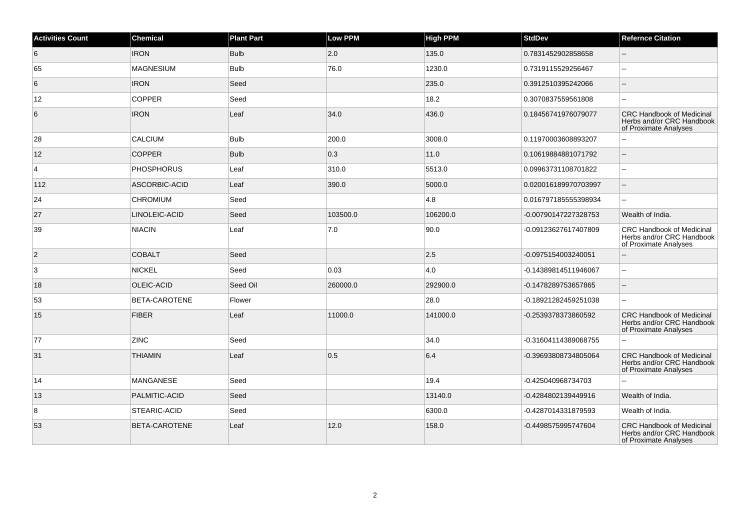| <b>Activities Count</b> | <b>Chemical</b>   | <b>Plant Part</b> | Low PPM       | <b>High PPM</b> | <b>StdDev</b>        | <b>Refernce Citation</b>                                                               |
|-------------------------|-------------------|-------------------|---------------|-----------------|----------------------|----------------------------------------------------------------------------------------|
| 6                       | <b>IRON</b>       | <b>Bulb</b>       | 2.0           | 135.0           | 0.7831452902858658   | $\overline{\phantom{a}}$                                                               |
| 65                      | <b>MAGNESIUM</b>  | <b>Bulb</b>       | 76.0          | 1230.0          | 0.7319115529256467   |                                                                                        |
| 6                       | <b>IRON</b>       | Seed              |               | 235.0           | 0.3912510395242066   |                                                                                        |
| 12                      | <b>COPPER</b>     | Seed              |               | 18.2            | 0.3070837559561808   | $\overline{a}$                                                                         |
| 6                       | <b>IRON</b>       | Leaf              | 34.0          | 436.0           | 0.18456741976079077  | <b>CRC Handbook of Medicinal</b><br>Herbs and/or CRC Handbook<br>of Proximate Analyses |
| 28                      | CALCIUM           | <b>Bulb</b>       | 200.0         | 3008.0          | 0.11970003608893207  |                                                                                        |
| 12                      | <b>COPPER</b>     | <b>Bulb</b>       | $ 0.3\rangle$ | 11.0            | 0.10619884881071792  | Щ.                                                                                     |
| $\overline{4}$          | <b>PHOSPHORUS</b> | Leaf              | 310.0         | 5513.0          | 0.09963731108701822  | --                                                                                     |
| 112                     | ASCORBIC-ACID     | Leaf              | 390.0         | 5000.0          | 0.020016189970703997 | ц,                                                                                     |
| 24                      | <b>CHROMIUM</b>   | Seed              |               | 4.8             | 0.016797185555398934 | ш.                                                                                     |
| 27                      | LINOLEIC-ACID     | Seed              | 103500.0      | 106200.0        | -0.00790147227328753 | Wealth of India.                                                                       |
| 39                      | NIACIN            | Leaf              | 7.0           | 90.0            | -0.09123627617407809 | CRC Handbook of Medicinal<br>Herbs and/or CRC Handbook<br>of Proximate Analyses        |
| $\vert$ 2               | <b>COBALT</b>     | Seed              |               | 2.5             | -0.0975154003240051  |                                                                                        |
| 3                       | <b>NICKEL</b>     | Seed              | 0.03          | $ 4.0\rangle$   | -0.14389814511946067 | $\mathbf{u}$                                                                           |
| 18                      | OLEIC-ACID        | Seed Oil          | 260000.0      | 292900.0        | -0.1478289753657865  | $-$                                                                                    |
| 53                      | BETA-CAROTENE     | Flower            |               | 28.0            | -0.18921282459251038 | ц,                                                                                     |
| 15                      | <b>FIBER</b>      | Leaf              | 11000.0       | 141000.0        | -0.2539378373860592  | <b>CRC Handbook of Medicinal</b><br>Herbs and/or CRC Handbook<br>of Proximate Analyses |
| 77                      | <b>ZINC</b>       | Seed              |               | 34.0            | -0.31604114389068755 |                                                                                        |
| 31                      | <b>THIAMIN</b>    | Leaf              | 0.5           | 6.4             | -0.39693808734805064 | CRC Handbook of Medicinal<br>Herbs and/or CRC Handbook<br>of Proximate Analyses        |
| 14                      | <b>MANGANESE</b>  | Seed              |               | 19.4            | -0.425040968734703   |                                                                                        |
| 13                      | PALMITIC-ACID     | Seed              |               | 13140.0         | -0.4284802139449916  | Wealth of India.                                                                       |
| 8                       | STEARIC-ACID      | Seed              |               | 6300.0          | -0.4287014331879593  | Wealth of India.                                                                       |
| 53                      | BETA-CAROTENE     | Leaf              | 12.0          | 158.0           | -0.4498575995747604  | <b>CRC Handbook of Medicinal</b><br>Herbs and/or CRC Handbook<br>of Proximate Analyses |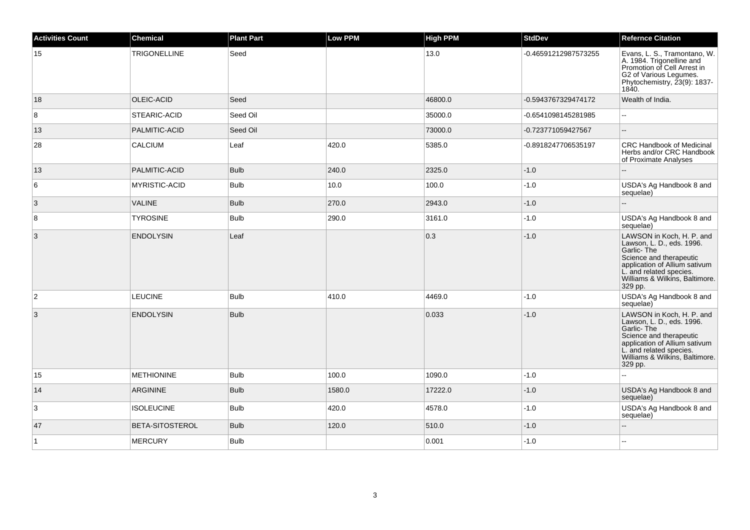| <b>Activities Count</b> | Chemical               | <b>Plant Part</b> | <b>Low PPM</b> | <b>High PPM</b> | <b>StdDev</b>        | <b>Refernce Citation</b>                                                                                                                                                                                  |
|-------------------------|------------------------|-------------------|----------------|-----------------|----------------------|-----------------------------------------------------------------------------------------------------------------------------------------------------------------------------------------------------------|
| 15                      | <b>TRIGONELLINE</b>    | Seed              |                | 13.0            | -0.46591212987573255 | Evans, L. S., Tramontano, W.<br>A. 1984. Trigonelline and<br>Promotion of Cell Arrest in<br>G2 of Various Legumes.<br>Phytochemistry, 23(9): 1837-<br>1840.                                               |
| 18                      | OLEIC-ACID             | Seed              |                | 46800.0         | -0.5943767329474172  | Wealth of India.                                                                                                                                                                                          |
| 8                       | STEARIC-ACID           | Seed Oil          |                | 35000.0         | -0.6541098145281985  | $\sim$                                                                                                                                                                                                    |
| 13                      | PALMITIC-ACID          | Seed Oil          |                | 73000.0         | -0.723771059427567   | $\overline{a}$                                                                                                                                                                                            |
| 28                      | <b>CALCIUM</b>         | Leaf              | 420.0          | 5385.0          | -0.8918247706535197  | <b>CRC Handbook of Medicinal</b><br>Herbs and/or CRC Handbook<br>of Proximate Analyses                                                                                                                    |
| 13                      | PALMITIC-ACID          | <b>Bulb</b>       | 240.0          | 2325.0          | $-1.0$               |                                                                                                                                                                                                           |
| 6                       | <b>MYRISTIC-ACID</b>   | <b>Bulb</b>       | 10.0           | 100.0           | $-1.0$               | USDA's Ag Handbook 8 and<br>sequelae)                                                                                                                                                                     |
| $\mathbf{3}$            | <b>VALINE</b>          | <b>Bulb</b>       | 270.0          | 2943.0          | $-1.0$               |                                                                                                                                                                                                           |
| 8                       | <b>TYROSINE</b>        | Bulb              | 290.0          | 3161.0          | $-1.0$               | USDA's Ag Handbook 8 and<br>sequelae)                                                                                                                                                                     |
| 3                       | <b>ENDOLYSIN</b>       | Leaf              |                | 0.3             | $-1.0$               | LAWSON in Koch, H. P. and<br>Lawson, L. D., eds. 1996.<br>Garlic-The<br>Science and therapeutic<br>application of Allium sativum<br>L. and related species.<br>Williams & Wilkins, Baltimore.<br>329 pp.  |
| 2                       | <b>LEUCINE</b>         | <b>Bulb</b>       | 410.0          | 4469.0          | $-1.0$               | USDA's Ag Handbook 8 and<br>sequelae)                                                                                                                                                                     |
| 3                       | <b>ENDOLYSIN</b>       | <b>Bulb</b>       |                | 0.033           | $-1.0$               | LAWSON in Koch, H. P. and<br>Lawson, L. D., eds. 1996.<br>Garlic- The<br>Science and therapeutic<br>application of Allium sativum<br>L. and related species.<br>Williams & Wilkins, Baltimore.<br>329 pp. |
| 15                      | <b>METHIONINE</b>      | <b>Bulb</b>       | 100.0          | 1090.0          | $-1.0$               | L.                                                                                                                                                                                                        |
| 14                      | <b>ARGININE</b>        | <b>Bulb</b>       | 1580.0         | 17222.0         | $-1.0$               | USDA's Ag Handbook 8 and<br>sequelae)                                                                                                                                                                     |
| 3                       | <b>ISOLEUCINE</b>      | <b>Bulb</b>       | 420.0          | 4578.0          | $-1.0$               | USDA's Ag Handbook 8 and<br>sequelae)                                                                                                                                                                     |
| 47                      | <b>BETA-SITOSTEROL</b> | <b>Bulb</b>       | 120.0          | 510.0           | $-1.0$               | $\overline{a}$                                                                                                                                                                                            |
| $\vert$ 1               | <b>MERCURY</b>         | <b>Bulb</b>       |                | 0.001           | $-1.0$               |                                                                                                                                                                                                           |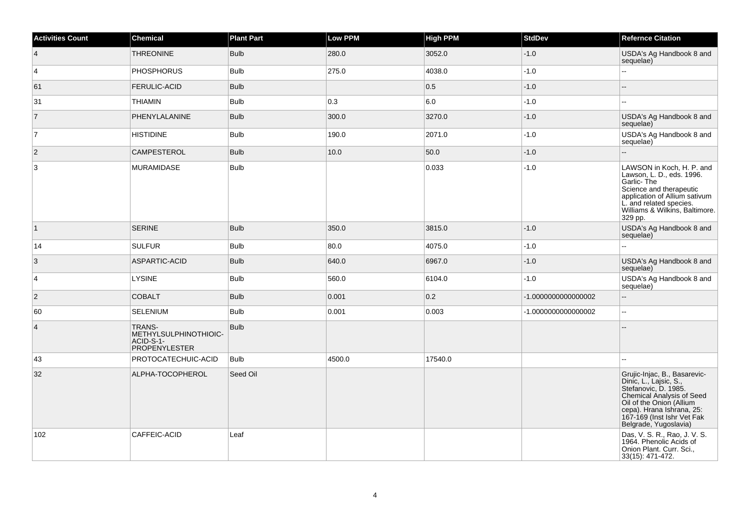| <b>Activities Count</b> | <b>Chemical</b>                                                             | <b>Plant Part</b> | <b>Low PPM</b> | <b>High PPM</b> | StdDev             | <b>Refernce Citation</b>                                                                                                                                                                                                    |
|-------------------------|-----------------------------------------------------------------------------|-------------------|----------------|-----------------|--------------------|-----------------------------------------------------------------------------------------------------------------------------------------------------------------------------------------------------------------------------|
| $\overline{4}$          | <b>THREONINE</b>                                                            | <b>Bulb</b>       | 280.0          | 3052.0          | $-1.0$             | USDA's Ag Handbook 8 and<br>sequelae)                                                                                                                                                                                       |
| $\overline{4}$          | <b>PHOSPHORUS</b>                                                           | <b>Bulb</b>       | 275.0          | 4038.0          | $-1.0$             | цú.                                                                                                                                                                                                                         |
| 61                      | <b>FERULIC-ACID</b>                                                         | <b>Bulb</b>       |                | 0.5             | $-1.0$             |                                                                                                                                                                                                                             |
| 31                      | <b>THIAMIN</b>                                                              | <b>Bulb</b>       | 0.3            | 6.0             | $-1.0$             | $\overline{a}$                                                                                                                                                                                                              |
| $\overline{7}$          | PHENYLALANINE                                                               | <b>Bulb</b>       | 300.0          | 3270.0          | $-1.0$             | USDA's Ag Handbook 8 and<br>sequelae)                                                                                                                                                                                       |
| $\overline{7}$          | <b>HISTIDINE</b>                                                            | <b>Bulb</b>       | 190.0          | 2071.0          | $-1.0$             | USDA's Ag Handbook 8 and<br>sequelae)                                                                                                                                                                                       |
| $\overline{2}$          | CAMPESTEROL                                                                 | <b>Bulb</b>       | 10.0           | 50.0            | $-1.0$             | $\overline{a}$                                                                                                                                                                                                              |
| 3                       | MURAMIDASE                                                                  | <b>Bulb</b>       |                | 0.033           | $-1.0$             | LAWSON in Koch, H. P. and<br>Lawson, L. D., eds. 1996.<br>Garlic-The<br>Science and therapeutic<br>application of Allium sativum<br>L. and related species.<br>Williams & Wilkins, Baltimore.<br>329 pp.                    |
| $\vert$ 1               | <b>SERINE</b>                                                               | <b>Bulb</b>       | 350.0          | 3815.0          | $-1.0$             | USDA's Ag Handbook 8 and<br>sequelae)                                                                                                                                                                                       |
| 14                      | <b>SULFUR</b>                                                               | <b>Bulb</b>       | 80.0           | 4075.0          | $-1.0$             | L.                                                                                                                                                                                                                          |
| $\vert 3 \vert$         | ASPARTIC-ACID                                                               | <b>Bulb</b>       | 640.0          | 6967.0          | $-1.0$             | USDA's Ag Handbook 8 and<br>sequelae)                                                                                                                                                                                       |
| $\overline{4}$          | <b>LYSINE</b>                                                               | <b>Bulb</b>       | 560.0          | 6104.0          | $-1.0$             | USDA's Ag Handbook 8 and<br>sequelae)                                                                                                                                                                                       |
| $\overline{c}$          | <b>COBALT</b>                                                               | <b>Bulb</b>       | 0.001          | 0.2             | -1.000000000000002 | щ.                                                                                                                                                                                                                          |
| 60                      | <b>SELENIUM</b>                                                             | <b>Bulb</b>       | 0.001          | 0.003           | -1.000000000000002 | $-1$                                                                                                                                                                                                                        |
| $\overline{4}$          | <b>TRANS-</b><br>METHYLSULPHINOTHIOIC-<br>ACID-S-1-<br><b>PROPENYLESTER</b> | <b>Bulb</b>       |                |                 |                    |                                                                                                                                                                                                                             |
| 43                      | PROTOCATECHUIC-ACID                                                         | <b>Bulb</b>       | 4500.0         | 17540.0         |                    |                                                                                                                                                                                                                             |
| 32                      | ALPHA-TOCOPHEROL                                                            | Seed Oil          |                |                 |                    | Grujic-Injac, B., Basarevic-<br>Dinic, L., Lajsic, S.,<br>Stefanovic, D. 1985.<br>Chemical Analysis of Seed<br>Oil of the Onion (Allium<br>cepa). Hrana Ishrana, 25:<br>167-169 (Inst Ishr Vet Fak<br>Belgrade, Yugoslavia) |
| 102                     | CAFFEIC-ACID                                                                | Leaf              |                |                 |                    | Das, V. S. R., Rao, J. V. S.<br>1964. Phenolic Acids of<br>Onion Plant. Curr. Sci.,<br>33(15): 471-472.                                                                                                                     |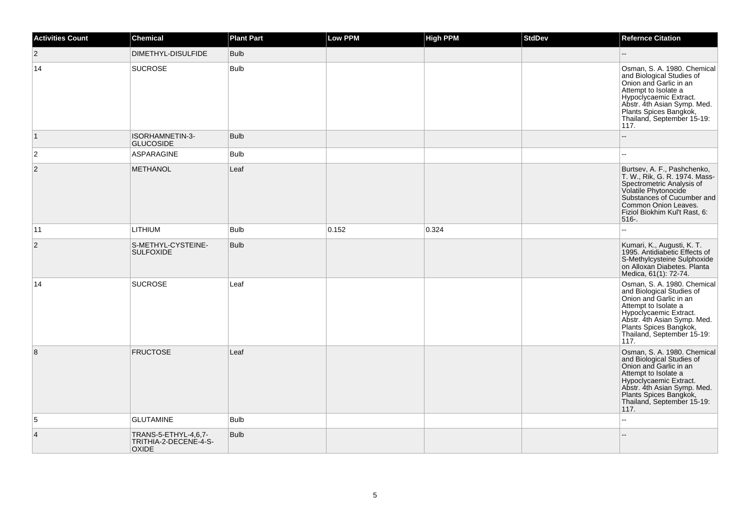| <b>Activities Count</b> | <b>Chemical</b>                                               | <b>Plant Part</b> | <b>Low PPM</b> | <b>High PPM</b> | <b>StdDev</b> | <b>Refernce Citation</b>                                                                                                                                                                                                                                      |
|-------------------------|---------------------------------------------------------------|-------------------|----------------|-----------------|---------------|---------------------------------------------------------------------------------------------------------------------------------------------------------------------------------------------------------------------------------------------------------------|
| $ 2\rangle$             | DIMETHYL-DISULFIDE                                            | <b>Bulb</b>       |                |                 |               | Ξ.                                                                                                                                                                                                                                                            |
| 14                      | <b>SUCROSE</b>                                                | <b>Bulb</b>       |                |                 |               | Osman, S. A. 1980. Chemical<br>and Biological Studies of<br>Onion and Garlic in an<br>Attempt to Isolate a<br>Hypoclycaemic Extract.<br>Abstr. 4th Asian Symp. Med.<br>Plants Spices Bangkok,<br>Thailand, September 15-19:<br>117.                           |
| $\vert$ 1               | ISORHAMNETIN-3-<br><b>GLUCOSIDE</b>                           | <b>Bulb</b>       |                |                 |               | ш,                                                                                                                                                                                                                                                            |
| $\overline{c}$          | ASPARAGINE                                                    | <b>Bulb</b>       |                |                 |               |                                                                                                                                                                                                                                                               |
| $\overline{2}$          | <b>METHANOL</b>                                               | Leaf              |                |                 |               | Burtsev, A. F., Pashchenko,<br>T. W., Rik, G. R. 1974. Mass-<br>Spectrometric Analysis of<br>Volatile Phytonocide<br>Substances of Cucumber and<br>Common Onion Leaves.<br>Fiziol Biokhim Kul't Rast, 6:<br>516-.                                             |
| 11                      | <b>LITHIUM</b>                                                | <b>Bulb</b>       | 0.152          | 0.324           |               | $\overline{a}$                                                                                                                                                                                                                                                |
| $\sqrt{2}$              | S-METHYL-CYSTEINE-<br><b>SULFOXIDE</b>                        | <b>Bulb</b>       |                |                 |               | Kumari, K., Augusti, K. T.<br>1995. Antidiabetic Effects of<br>S-Methylcysteine Sulphoxide<br>on Alloxan Diabetes. Planta<br>Medica, 61(1): 72-74.                                                                                                            |
| 14                      | <b>SUCROSE</b>                                                | Leaf              |                |                 |               | Osman, S. A. 1980. Chemical<br>and Biological Studies of<br>Onion and Garlic in an<br>Attempt to Isolate a<br>Hypoclycaemic Extract.<br>Abstr. 4th Asian Symp. Med.<br>Plants Spices Bangkok,<br>Plants Spices Bangkok,<br>Thailand, September 15-19:<br>117. |
| 8                       | <b>FRUCTOSE</b>                                               | Leaf              |                |                 |               | Osman, S. A. 1980. Chemical<br>and Biological Studies of<br>Onion and Garlic in an<br>Attempt to Isolate a<br>Hypoclycaemic Extract.<br>Abstr. 4th Asian Symp. Med.<br>Plants Spices Bangkok,<br>Thailand, September 15-19:<br>117.                           |
| 5                       | <b>GLUTAMINE</b>                                              | <b>Bulb</b>       |                |                 |               | u.                                                                                                                                                                                                                                                            |
| $\overline{4}$          | TRANS-5-ETHYL-4,6,7-<br>TRITHIA-2-DECENE-4-S-<br><b>OXIDE</b> | <b>Bulb</b>       |                |                 |               |                                                                                                                                                                                                                                                               |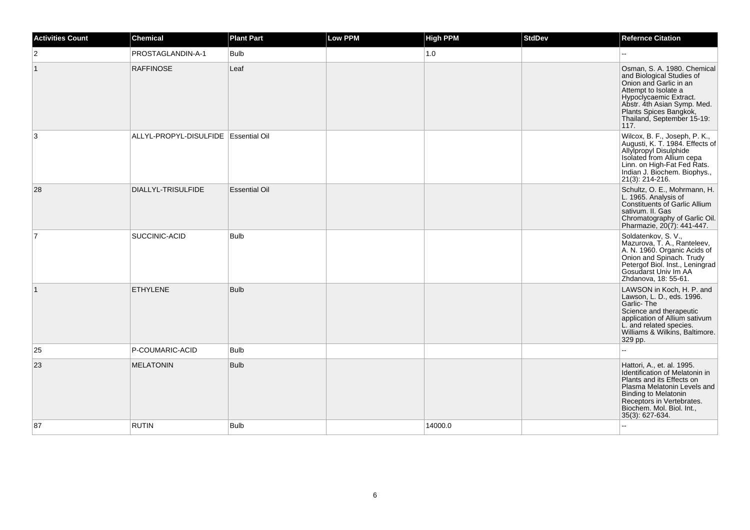| <b>Activities Count</b> | Chemical                               | <b>Plant Part</b>    | <b>Low PPM</b> | <b>High PPM</b> | <b>StdDev</b> | <b>Refernce Citation</b>                                                                                                                                                                                                                |
|-------------------------|----------------------------------------|----------------------|----------------|-----------------|---------------|-----------------------------------------------------------------------------------------------------------------------------------------------------------------------------------------------------------------------------------------|
| $\overline{c}$          | PROSTAGLANDIN-A-1                      | <b>Bulb</b>          |                | 1.0             |               |                                                                                                                                                                                                                                         |
| $\vert$ 1               | <b>RAFFINOSE</b>                       | Leaf                 |                |                 |               | Osman, S. A. 1980. Chemical<br>and Biological Studies of<br>Onion and Garlic in an<br>Attempt to Isolate a<br>Hypoclycaemic Extract.<br>Abstr. 4th Asian Symp. Med.<br>Plants Spices Bangkok,<br>Thailand, September 15-19:<br>117.     |
| 3                       | ALLYL-PROPYL-DISULFIDE   Essential Oil |                      |                |                 |               | Wilcox, B. F., Joseph, P. K.,<br>Augusti, K. T. 1984. Effects of<br>Allylpropyl Disulphide<br>  Allylpropyl Disulphide<br>  Isolated from Allium cepa<br>Linn. on High-Fat Fed Rats.<br>Indian J. Biochem. Biophys.,<br>21(3): 214-216. |
| 28                      | DIALLYL-TRISULFIDE                     | <b>Essential Oil</b> |                |                 |               | Schultz, O. E., Mohrmann, H.<br>L. 1965. Analysis of<br><b>Constituents of Garlic Allium</b><br>sativum. II. Gas<br>Chromatography of Garlic Oil.<br>Pharmazie, 20(7): 441-447.                                                         |
| $\overline{7}$          | SUCCINIC-ACID                          | <b>Bulb</b>          |                |                 |               | Soldatenkov, S. V.,<br>Mazurova, T. A., Ranteleev,<br>A. N. 1960. Organic Acids of<br>Onion and Spinach. Trudy<br>Petergof Biol. Inst., Leningrad<br>Gosudarst Univ Im AA<br>Zhdanova, 18: 55-61.                                       |
| $\mathbf{1}$            | <b>ETHYLENE</b>                        | <b>Bulb</b>          |                |                 |               | LAWSON in Koch, H. P. and<br>Lawson, L. D., eds. 1996.<br>Garlic-The<br>Science and therapeutic<br>application of Allium sativum<br>L. and related species.<br>Williams & Wilkins, Baltimore.<br>329 pp.                                |
| 25                      | P-COUMARIC-ACID                        | <b>Bulb</b>          |                |                 |               |                                                                                                                                                                                                                                         |
| 23                      | <b>MELATONIN</b>                       | <b>Bulb</b>          |                |                 |               | Hattori, A., et. al. 1995.<br>Identification of Melatonin in<br>Plants and its Effects on<br>Plasma Melatonin Levels and<br><b>Binding to Melatonin</b><br>Receptors in Vertebrates.<br>Biochem. Mol. Biol. Int.,<br>35(3): 627-634.    |
| 87                      | <b>RUTIN</b>                           | <b>Bulb</b>          |                | 14000.0         |               |                                                                                                                                                                                                                                         |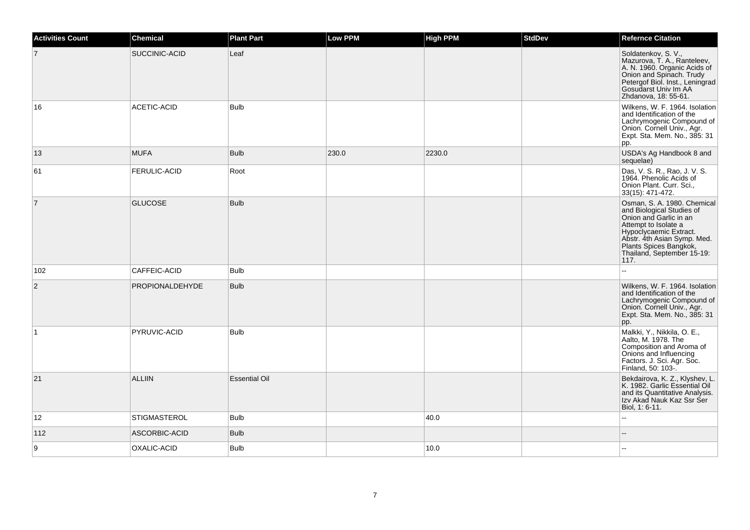| <b>Activities Count</b> | <b>Chemical</b>     | <b>Plant Part</b>    | Low PPM | <b>High PPM</b> | <b>StdDev</b> | <b>Refernce Citation</b>                                                                                                                                                                                                            |
|-------------------------|---------------------|----------------------|---------|-----------------|---------------|-------------------------------------------------------------------------------------------------------------------------------------------------------------------------------------------------------------------------------------|
| 7                       | SUCCINIC-ACID       | Leaf                 |         |                 |               | Soldatenkov, S. V.,<br>Mazurova, T. A., Ranteleev,<br>A. N. 1960. Organic Acids of<br>Onion and Spinach. Trudy<br>Petergof Biol. Inst., Leningrad<br>Gosudarst Univ Im AA<br>Zhdanova, 18: 55-61.                                   |
| 16                      | ACETIC-ACID         | <b>Bulb</b>          |         |                 |               | Wilkens, W. F. 1964. Isolation<br>and Identification of the<br>Lachrymogenic Compound of<br>Onion. Cornell Univ., Agr.<br>Expt. Sta. Mem. No., 385: 31<br>pp.                                                                       |
| 13                      | <b>MUFA</b>         | <b>Bulb</b>          | 230.0   | 2230.0          |               | USDA's Ag Handbook 8 and<br>sequelae)                                                                                                                                                                                               |
| 61                      | <b>FERULIC-ACID</b> | Root                 |         |                 |               | Das, V. S. R., Rao, J. V. S.<br>1964. Phenolic Acids of<br>Onion Plant. Curr. Sci.,<br>33(15): 471-472.                                                                                                                             |
| $\overline{7}$          | <b>GLUCOSE</b>      | <b>Bulb</b>          |         |                 |               | Osman, S. A. 1980. Chemical<br>and Biological Studies of<br>Onion and Garlic in an<br>Attempt to Isolate a<br>Hypoclycaemic Extract.<br>Abstr. 4th Asian Symp. Med.<br>Plants Spices Bangkok,<br>Thailand, September 15-19:<br>117. |
| 102                     | CAFFEIC-ACID        | <b>Bulb</b>          |         |                 |               | L.                                                                                                                                                                                                                                  |
| 2                       | PROPIONALDEHYDE     | <b>Bulb</b>          |         |                 |               | Wilkens, W. F. 1964. Isolation<br>and Identification of the<br>Lachrymogenic Compound of<br>Onion. Cornell Univ., Agr.<br>Expt. Sta. Mem. No., 385: 31<br>pp.                                                                       |
| $\overline{1}$          | PYRUVIC-ACID        | <b>Bulb</b>          |         |                 |               | Malkki, Y., Nikkila, O. E.,<br>Aalto, M. 1978. The<br>Composition and Aroma of<br>Onions and Influencing<br>Factors. J. Sci. Agr. Soc.<br>Finland, 50: 103-.                                                                        |
| 21                      | <b>ALLIIN</b>       | <b>Essential Oil</b> |         |                 |               | Bekdairova, K. Z., Klyshev, L.<br>K. 1982. Garlic Essential Oil<br>and its Quantitative Analysis.<br>Izv Akad Nauk Kaz Ssr Ser<br>Biol, 1: 6-11.                                                                                    |
| 12                      | <b>STIGMASTEROL</b> | Bulb                 |         | 40.0            |               | Ξ.                                                                                                                                                                                                                                  |
| 112                     | ASCORBIC-ACID       | <b>Bulb</b>          |         |                 |               |                                                                                                                                                                                                                                     |
| 9                       | OXALIC-ACID         | <b>Bulb</b>          |         | 10.0            |               |                                                                                                                                                                                                                                     |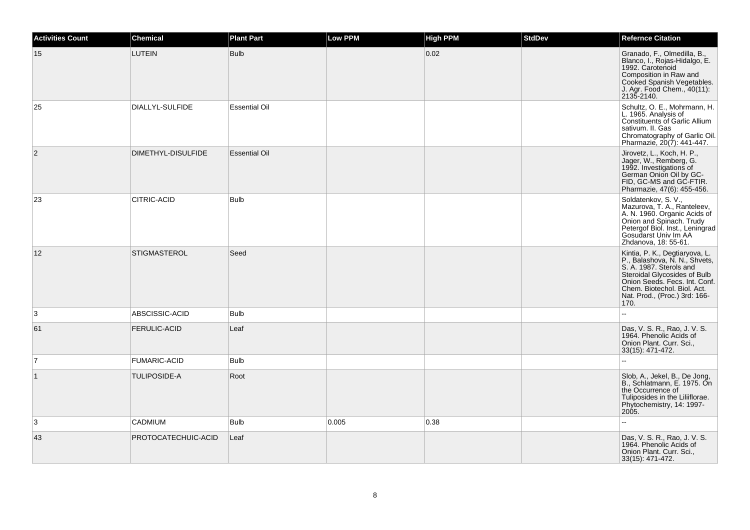| <b>Activities Count</b> | <b>Chemical</b>     | <b>Plant Part</b>    | <b>Low PPM</b> | <b>High PPM</b> | <b>StdDev</b> | <b>Refernce Citation</b>                                                                                                                                                                                                            |
|-------------------------|---------------------|----------------------|----------------|-----------------|---------------|-------------------------------------------------------------------------------------------------------------------------------------------------------------------------------------------------------------------------------------|
| 15                      | <b>LUTEIN</b>       | <b>Bulb</b>          |                | 0.02            |               | Granado, F., Olmedilla, B.,<br>Blanco, I., Rojas-Hidalgo, E.<br>1992. Carotenoid<br>Composition in Raw and<br>Cooked Spanish Vegetables.<br>J. Agr. Food Chem., 40(11):<br>2135-2140.                                               |
| 25                      | DIALLYL-SULFIDE     | <b>Essential Oil</b> |                |                 |               | Schultz, O. E., Mohrmann, H.<br>L. 1965. Analysis of<br>Constituents of Garlic Allium<br>sativum. II. Gas<br>Chromatography of Garlic Oil.<br>Pharmazie, 20(7): 441-447.                                                            |
| $ 2\rangle$             | DIMETHYL-DISULFIDE  | <b>Essential Oil</b> |                |                 |               | Jirovetz, L., Koch, H. P.,<br>Jager, W., Remberg, G.<br>1992. Investigations of<br>German Onion Oil by GC-<br>FID, GC-MS and GC-FTIR.<br>Pharmazie, 47(6): 455-456.                                                                 |
| 23                      | CITRIC-ACID         | <b>Bulb</b>          |                |                 |               | Soldatenkov, S. V.,<br>Mazurova, T. A., Ranteleev,<br>A. N. 1960. Organic Acids of<br>Onion and Spinach. Trudy<br>Petergof Biol. Inst., Leningrad<br>Gosudarst Univ Im AA<br>Zhdanova, 18: 55-61.                                   |
| 12                      | <b>STIGMASTEROL</b> | Seed                 |                |                 |               | Kintia, P. K., Degtiaryova, L.<br>P., Balashova, N. N., Shvets,<br>S. A. 1987. Sterols and<br>Steroidal Glycosides of Bulb<br>Onion Seeds. Fecs. Int. Conf.<br>Chem. Biotechol. Biol. Act.<br>Nat. Prod., (Proc.) 3rd: 166-<br>170. |
| 3                       | ABSCISSIC-ACID      | <b>Bulb</b>          |                |                 |               | $\sim$ $\sim$                                                                                                                                                                                                                       |
| 61                      | <b>FERULIC-ACID</b> | Leaf                 |                |                 |               | Das, V. S. R., Rao, J. V. S.<br>1964. Phenolic Acids of<br>Onion Plant. Curr. Sci.,<br>33(15): 471-472.                                                                                                                             |
| $\overline{7}$          | <b>FUMARIC-ACID</b> | <b>Bulb</b>          |                |                 |               | $\mathbf{r}$                                                                                                                                                                                                                        |
| $\vert$ 1               | <b>TULIPOSIDE-A</b> | Root                 |                |                 |               | Slob, A., Jekel, B., De Jong,<br>B., Schlatmann, E. 1975. On<br>the Occurrence of<br>Tuliposides in the Liliiflorae.<br>Phytochemistry, 14: 1997-<br>2005.                                                                          |
| 3                       | <b>CADMIUM</b>      | <b>Bulb</b>          | 0.005          | 0.38            |               |                                                                                                                                                                                                                                     |
| 43                      | PROTOCATECHUIC-ACID | Leaf                 |                |                 |               | Das, V. S. R., Rao, J. V. S.<br>1964. Phenolic Acids of<br>Onion Plant. Curr. Sci.,<br>33(15): 471-472.                                                                                                                             |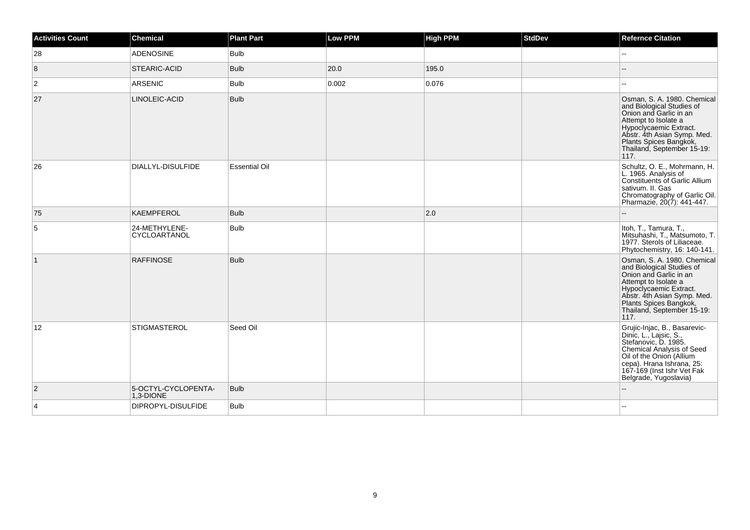| Activities Count | <b>Chemical</b>                  | <b>Plant Part</b>    | <b>Low PPM</b> | <b>High PPM</b> | <b>StdDev</b> | <b>Refernce Citation</b>                                                                                                                                                                                                            |
|------------------|----------------------------------|----------------------|----------------|-----------------|---------------|-------------------------------------------------------------------------------------------------------------------------------------------------------------------------------------------------------------------------------------|
| 28               | <b>ADENOSINE</b>                 | Bulb                 |                |                 |               |                                                                                                                                                                                                                                     |
| 8                | STEARIC-ACID                     | <b>Bulb</b>          | 20.0           | 195.0           |               |                                                                                                                                                                                                                                     |
| $\overline{c}$   | <b>ARSENIC</b>                   | Bulb                 | 0.002          | 0.076           |               | --                                                                                                                                                                                                                                  |
| 27               | LINOLEIC-ACID                    | <b>Bulb</b>          |                |                 |               | Osman, S. A. 1980. Chemical<br>and Biological Studies of<br>Onion and Garlic in an<br>Attempt to Isolate a<br>Hypoclycaemic Extract.<br>Abstr. 4th Asian Symp. Med.<br>Plants Spices Bangkok,<br>Thailand, September 15-19:<br>117. |
| 26               | DIALLYL-DISULFIDE                | <b>Essential Oil</b> |                |                 |               | Schultz, O. E., Mohrmann, H.<br>L. 1965. Analysis of<br>Constituents of Garlic Allium<br>sativum. II. Gas<br>Chromatography of Garlic Oil.<br>Pharmazie, 20(7): 441-447.                                                            |
| 75               | KAEMPFEROL                       | Bulb                 |                | $ 2.0\rangle$   |               |                                                                                                                                                                                                                                     |
| 5                | 24-METHYLENE-<br>CYCLOARTANOL    | Bulb                 |                |                 |               | Itoh, T., Tamura, T.,<br>Mitsuhashi, T., Matsumoto, T.<br>1977. Sterols of Liliaceae.<br>Phytochemistry, 16: 140-141.                                                                                                               |
| $\mathbf{1}$     | <b>RAFFINOSE</b>                 | Bulb                 |                |                 |               | Osman, S. A. 1980. Chemical<br>and Biological Studies of<br>Onion and Garlic in an<br>Attempt to Isolate a<br>Hypoclycaemic Extract.<br>Abstr. 4th Asian Symp. Med.<br>Plants Spices Bangkok,<br>Thailand, September 15-19:<br>117. |
| 12               | <b>STIGMASTEROL</b>              | Seed Oil             |                |                 |               | Grujic-Injac, B., Basarevic-<br>Dinic, L., Lajsic, S.,<br>Stefanovic, D. 1985.<br>Chemical Analysis of Seed<br>Oil of the Onion (Allium<br>cepa). Hrana Ishrana, 25:<br>167-169 (Inst Ishr Vet Fak<br>Belgrade, Yugoslavia)         |
| $\overline{2}$   | 5-OCTYL-CYCLOPENTA-<br>1,3-DIONE | <b>Bulb</b>          |                |                 |               |                                                                                                                                                                                                                                     |
| 4                | DIPROPYL-DISULFIDE               | <b>Bulb</b>          |                |                 |               |                                                                                                                                                                                                                                     |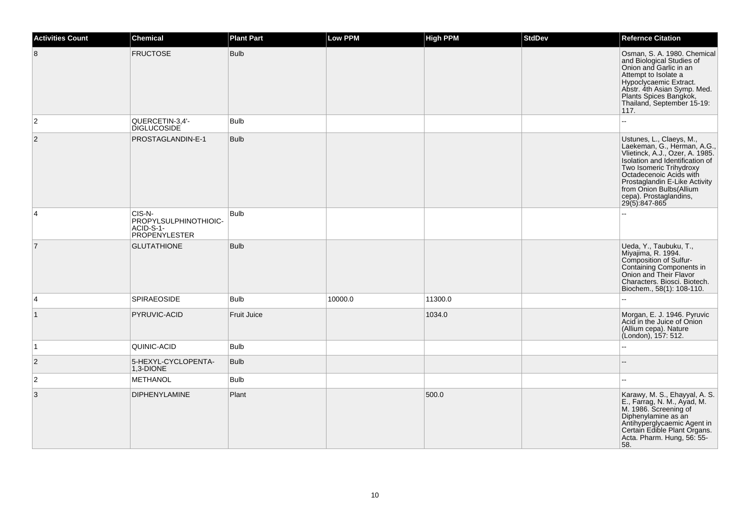| <b>Activities Count</b> | <b>Chemical</b>                                               | <b>Plant Part</b>  | <b>Low PPM</b> | <b>High PPM</b> | <b>StdDev</b> | <b>Refernce Citation</b>                                                                                                                                                                                                                                                                   |
|-------------------------|---------------------------------------------------------------|--------------------|----------------|-----------------|---------------|--------------------------------------------------------------------------------------------------------------------------------------------------------------------------------------------------------------------------------------------------------------------------------------------|
| 8                       | <b>FRUCTOSE</b>                                               | <b>Bulb</b>        |                |                 |               | Osman, S. A. 1980. Chemical<br>and Biological Studies of<br>Onion and Garlic in an<br>Attempt to Isolate a<br>Hypoclycaemic Extract.<br>Abstr. 4th Asian Symp. Med.<br>Plants Spices Bangkok,<br>Thailand, September 15-19:<br>117.                                                        |
| $\overline{2}$          | QUERCETIN-3,4'-<br><b>DIGLUCOSIDE</b>                         | <b>Bulb</b>        |                |                 |               | L.                                                                                                                                                                                                                                                                                         |
| $\overline{2}$          | PROSTAGLANDIN-E-1                                             | <b>Bulb</b>        |                |                 |               | Ustunes, L., Claeys, M.,<br>Laekeman, G., Herman, A.G.,<br>Vlietinck, A.J., Ozer, A. 1985.<br>Isolation and Identification of<br>Two Isomeric Trihydroxy<br>Octadecenoic Acids with<br>Prostaglandin E-Like Activity<br>from Onion Bulbs(Allium<br>cepa). Prostaglandins,<br>29(5):847-865 |
| $\overline{4}$          | CIS-N-<br>PROPYLSULPHINOTHIOIC-<br>ACID-S-1-<br>PROPENYLESTER | <b>Bulb</b>        |                |                 |               |                                                                                                                                                                                                                                                                                            |
| $\overline{7}$          | <b>GLUTATHIONE</b>                                            | <b>Bulb</b>        |                |                 |               | Ueda, Y., Taubuku, T.,<br>Miyajima, R. 1994.<br>Composition of Sulfur-<br>Containing Components in<br>Onion and Their Flavor<br>Characters. Biosci. Biotech.<br>Biochem., 58(1): 108-110.                                                                                                  |
| $\overline{4}$          | <b>SPIRAEOSIDE</b>                                            | <b>Bulb</b>        | 10000.0        | 11300.0         |               | u.                                                                                                                                                                                                                                                                                         |
| $\vert$ 1               | PYRUVIC-ACID                                                  | <b>Fruit Juice</b> |                | 1034.0          |               | Morgan, E. J. 1946. Pyruvic<br>Acid in the Juice of Onion<br>(Allium cepa). Nature<br>(London), 157: 512.                                                                                                                                                                                  |
| $\vert$ 1               | QUINIC-ACID                                                   | <b>Bulb</b>        |                |                 |               |                                                                                                                                                                                                                                                                                            |
| $\overline{2}$          | 5-HEXYL-CYCLOPENTA-<br>1,3-DIONE                              | <b>Bulb</b>        |                |                 |               |                                                                                                                                                                                                                                                                                            |
| $\overline{2}$          | <b>METHANOL</b>                                               | <b>Bulb</b>        |                |                 |               |                                                                                                                                                                                                                                                                                            |
| $\overline{3}$          | <b>DIPHENYLAMINE</b>                                          | Plant              |                | 500.0           |               | Karawy, M. S., Ehayyal, A. S.<br>E., Farrag, N. M., Ayad, M.<br>M. 1986. Screening of<br>Diphenylamine as an<br>Antihyperglycaemic Agent in<br>Certain Edible Plant Organs.<br>Acta. Pharm. Hung, 56: 55-<br>58.                                                                           |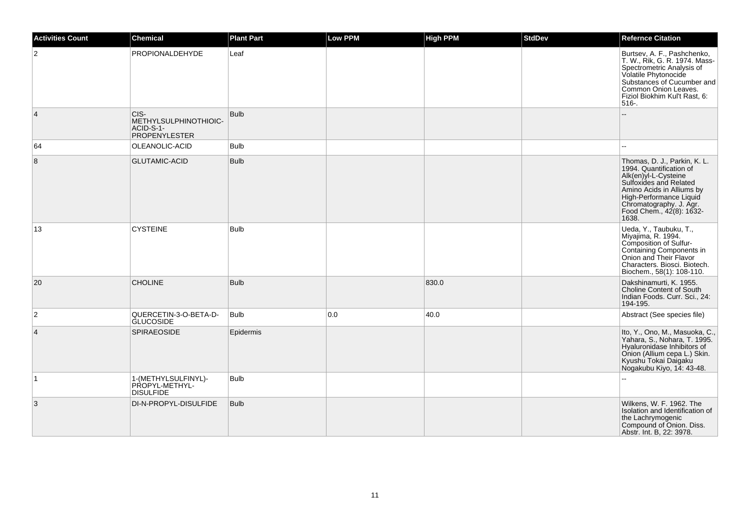| <b>Activities Count</b> | Chemical                                                           | <b>Plant Part</b> | <b>Low PPM</b> | <b>High PPM</b> | <b>StdDev</b> | <b>Refernce Citation</b>                                                                                                                                                                                                          |
|-------------------------|--------------------------------------------------------------------|-------------------|----------------|-----------------|---------------|-----------------------------------------------------------------------------------------------------------------------------------------------------------------------------------------------------------------------------------|
| 2                       | <b>PROPIONALDEHYDE</b>                                             | Leaf              |                |                 |               | Burtsev, A. F., Pashchenko,<br>T. W., Rik, G. R. 1974. Mass-<br>Spectrometric Analysis of<br>Volatile Phytonocide<br>Substances of Cucumber and<br>Common Onion Leaves.<br>Fiziol Biokhim Kul't Rast, 6:<br>516-.                 |
| $\overline{4}$          | CIS-<br>METHYLSULPHINOTHIOIC-<br>ACID-S-1-<br><b>PROPENYLESTER</b> | <b>Bulb</b>       |                |                 |               |                                                                                                                                                                                                                                   |
| 64                      | OLEANOLIC-ACID                                                     | <b>Bulb</b>       |                |                 |               |                                                                                                                                                                                                                                   |
| 8                       | <b>GLUTAMIC-ACID</b>                                               | <b>Bulb</b>       |                |                 |               | Thomas, D. J., Parkin, K. L.<br>1994. Quantification of<br>Alk(en)yl-L-Cysteine<br>Sulfoxides and Related<br>Amino Acids in Alliums by<br>High-Performance Liquid<br>Chromatography. J. Agr.<br>Food Chem., 42(8): 1632-<br>1638. |
| 13                      | <b>CYSTEINE</b>                                                    | <b>Bulb</b>       |                |                 |               | Ueda, Y., Taubuku, T.,<br>Miyajima, R. 1994.<br>Composition of Sulfur-<br>Configuration of Danian<br>Containing Components in<br>Onion and Their Flavor<br>Characters. Biosci. Biotech.<br>Biochem., 58(1): 108-110.              |
| 20                      | <b>CHOLINE</b>                                                     | <b>Bulb</b>       |                | 830.0           |               | Dakshinamurti, K. 1955.<br><b>Choline Content of South</b><br>Indian Foods. Curr. Sci., 24:<br>194-195.                                                                                                                           |
| $\overline{2}$          | QUERCETIN-3-O-BETA-D-<br><b>GLUCOSIDE</b>                          | <b>Bulb</b>       | 0.0            | 40.0            |               | Abstract (See species file)                                                                                                                                                                                                       |
| $\overline{4}$          | <b>SPIRAEOSIDE</b>                                                 | Epidermis         |                |                 |               | Ito, Y., Ono, M., Masuoka, C.,<br>Yahara, S., Nohara, T. 1995.<br>Hyaluronidase Inhibitors of<br>Onion (Allium cepa L.) Skin.<br>Kyushu Tokai Daigaku<br>Nogakubu Kiyo, 14: 43-48.                                                |
| $\mathbf 1$             | 1-(METHYLSULFINYL)-<br>PROPYL-METHYL-<br><b>DISULFIDE</b>          | <b>Bulb</b>       |                |                 |               |                                                                                                                                                                                                                                   |
| 3                       | DI-N-PROPYL-DISULFIDE                                              | <b>Bulb</b>       |                |                 |               | Wilkens, W. F. 1962. The<br>Isolation and Identification of<br>the Lachrymogenic<br>Compound of Onion. Diss.<br>Abstr. Int. B, 22: 3978.                                                                                          |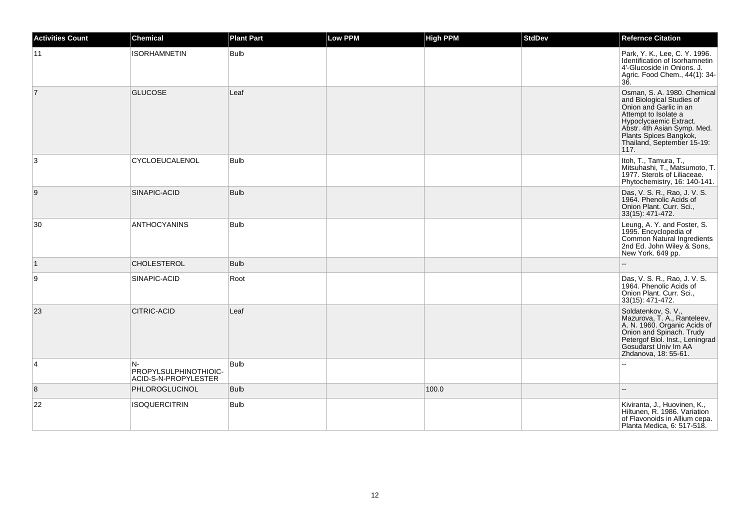| Activities Count | <b>Chemical</b>                                     | <b>Plant Part</b> | <b>Low PPM</b> | <b>High PPM</b> | <b>StdDev</b> | <b>Refernce Citation</b>                                                                                                                                                                                                            |
|------------------|-----------------------------------------------------|-------------------|----------------|-----------------|---------------|-------------------------------------------------------------------------------------------------------------------------------------------------------------------------------------------------------------------------------------|
| 11               | <b>ISORHAMNETIN</b>                                 | <b>Bulb</b>       |                |                 |               | Park, Y. K., Lee, C. Y. 1996.<br>Identification of Isorhamnetin<br>4'-Glucoside in Onions. J.<br>Agric. Food Chem., 44(1): 34-<br>36.                                                                                               |
| $\overline{7}$   | <b>GLUCOSE</b>                                      | Leaf              |                |                 |               | Osman, S. A. 1980. Chemical<br>and Biological Studies of<br>Onion and Garlic in an<br>Attempt to Isolate a<br>Hypoclycaemic Extract.<br>Abstr. 4th Asian Symp. Med.<br>Plants Spices Bangkok,<br>Thailand, September 15-19:<br>117. |
| 3                | CYCLOEUCALENOL                                      | <b>Bulb</b>       |                |                 |               | Itoh, T., Tamura, T.,<br>Mitsuhashi, T., Matsumoto, T.<br>1977. Sterols of Liliaceae.<br>Phytochemistry, 16: 140-141.                                                                                                               |
| 9                | SINAPIC-ACID                                        | <b>Bulb</b>       |                |                 |               | Das, V. S. R., Rao, J. V. S.<br>1964. Phenolic Acids of<br>Onion Plant. Curr. Sci.,<br>33(15): 471-472.                                                                                                                             |
| 30               | <b>ANTHOCYANINS</b>                                 | <b>Bulb</b>       |                |                 |               | Leung, A. Y. and Foster, S.<br>1995. Encyclopedia of<br>Common Natural Ingredients<br>2nd Ed. John Wiley & Sons,<br>New York. 649 pp.                                                                                               |
| $\vert$ 1        | <b>CHOLESTEROL</b>                                  | <b>Bulb</b>       |                |                 |               |                                                                                                                                                                                                                                     |
| 9                | SINAPIC-ACID                                        | Root              |                |                 |               | Das, V. S. R., Rao, J. V. S.<br>1964. Phenolic Acids of<br>Onion Plant. Curr. Sci.,<br>33(15): 471-472.                                                                                                                             |
| 23               | CITRIC-ACID                                         | Leaf              |                |                 |               | Soldatenkov, S. V.,<br>Mazurova, T. A., Ranteleev,<br>A. N. 1960. Organic Acids of<br>Onion and Spinach. Trudy<br>Petergof Biol. Inst., Leningrad<br>Gosudarst Univ Im AA<br>Zhdanova, 18: 55-61.                                   |
| 4                | N-<br>PROPYLSULPHINOTHIOIC-<br>ACID-S-N-PROPYLESTER | <b>Bulb</b>       |                |                 |               |                                                                                                                                                                                                                                     |
| 8                | PHLOROGLUCINOL                                      | <b>Bulb</b>       |                | 100.0           |               |                                                                                                                                                                                                                                     |
| 22               | <b>ISOQUERCITRIN</b>                                | <b>Bulb</b>       |                |                 |               | Kiviranta, J., Huovinen, K.,<br>Hiltunen, R. 1986. Variation<br>of Flavonoids in Allium cepa.<br>Planta Medica, 6: 517-518.                                                                                                         |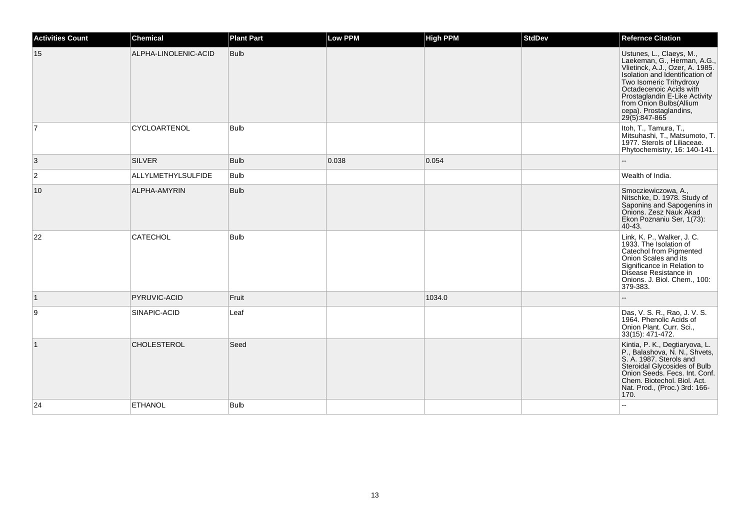| <b>Activities Count</b> | Chemical                  | <b>Plant Part</b> | Low PPM | <b>High PPM</b> | <b>StdDev</b> | <b>Refernce Citation</b>                                                                                                                                                                                                                                                                   |
|-------------------------|---------------------------|-------------------|---------|-----------------|---------------|--------------------------------------------------------------------------------------------------------------------------------------------------------------------------------------------------------------------------------------------------------------------------------------------|
| 15                      | ALPHA-LINOLENIC-ACID      | <b>Bulb</b>       |         |                 |               | Ustunes, L., Claeys, M.,<br>Laekeman, G., Herman, A.G.,<br>Vlietinck, A.J., Ozer, A. 1985.<br>Isolation and Identification of<br>Two Isomeric Trihydroxy<br>Octadecenoic Acids with<br>Prostaglandin E-Like Activity<br>from Onion Bulbs(Allium<br>cepa). Prostaglandins,<br>29(5):847-865 |
| $\overline{7}$          | <b>CYCLOARTENOL</b>       | <b>Bulb</b>       |         |                 |               | Itoh, T., Tamura, T.,<br>Mitsuhashi, T., Matsumoto, T.<br>1977. Sterols of Liliaceae.<br>Phytochemistry, 16: 140-141.                                                                                                                                                                      |
| 3                       | <b>SILVER</b>             | <b>Bulb</b>       | 0.038   | 0.054           |               |                                                                                                                                                                                                                                                                                            |
| $\overline{2}$          | <b>ALLYLMETHYLSULFIDE</b> | <b>Bulb</b>       |         |                 |               | Wealth of India.                                                                                                                                                                                                                                                                           |
| 10                      | ALPHA-AMYRIN              | <b>Bulb</b>       |         |                 |               | Smocziewiczowa, A.,<br>Nitschke, D. 1978. Study of<br>Saponins and Sapogenins in<br>Onions, Zesz Nauk Akad<br>Ekon Poznaniu Ser, 1(73):<br>40-43.                                                                                                                                          |
| 22                      | <b>CATECHOL</b>           | <b>Bulb</b>       |         |                 |               | Link, K. P., Walker, J. C.<br>1933. The Isolation of<br>Catechol from Pigmented<br>Onion Scales and its<br>Significance in Relation to<br>Disease Resistance in<br>Onions. J. Biol. Chem., 100:<br>379-383.                                                                                |
| $\mathbf{1}$            | PYRUVIC-ACID              | Fruit             |         | 1034.0          |               |                                                                                                                                                                                                                                                                                            |
| 9                       | SINAPIC-ACID              | Leaf              |         |                 |               | Das, V. S. R., Rao, J. V. S.<br>1964. Phenolic Acids of<br>Onion Plant. Curr. Sci.,<br>33(15): 471-472.                                                                                                                                                                                    |
| $\vert$ 1               | <b>CHOLESTEROL</b>        | Seed              |         |                 |               | Kintia, P. K., Degtiaryova, L.<br>P., Balashova, N. N., Shvets,<br>S. A. 1987. Sterols and<br>Steroidal Glycosides of Bulb<br>Onion Seeds. Fecs. Int. Conf.<br>Chem. Biotechol. Biol. Act.<br>Nat. Prod., (Proc.) 3rd: 166-<br>170.                                                        |
| 24                      | <b>ETHANOL</b>            | <b>Bulb</b>       |         |                 |               | --                                                                                                                                                                                                                                                                                         |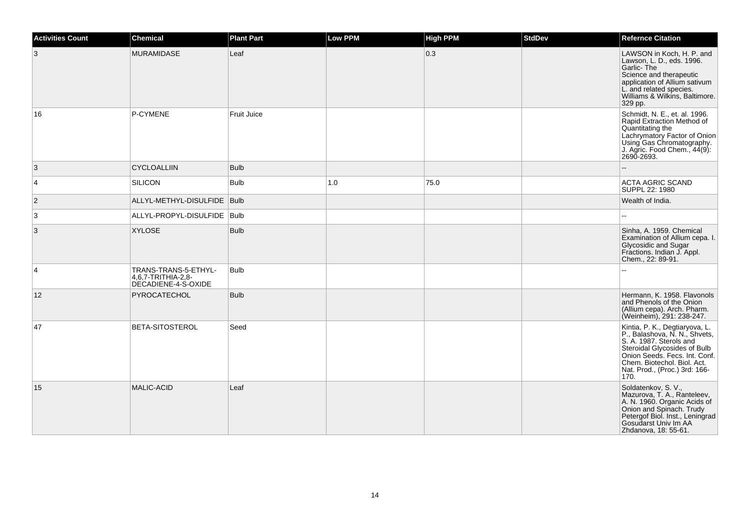| <b>Activities Count</b> | <b>Chemical</b>                                                   | <b>Plant Part</b> | <b>Low PPM</b> | <b>High PPM</b> | <b>StdDev</b> | <b>Refernce Citation</b>                                                                                                                                                                                                            |
|-------------------------|-------------------------------------------------------------------|-------------------|----------------|-----------------|---------------|-------------------------------------------------------------------------------------------------------------------------------------------------------------------------------------------------------------------------------------|
| 3                       | <b>MURAMIDASE</b>                                                 | Leaf              |                | 0.3             |               | LAWSON in Koch, H. P. and<br>Lawson, L. D., eds. 1996.<br>Garlic-The<br>Science and therapeutic<br>application of Allium sativum<br>L. and related species.<br>Williams & Wilkins, Baltimore.<br>329 pp.                            |
| 16                      | P-CYMENE                                                          | Fruit Juice       |                |                 |               | Schmidt, N. E., et. al. 1996.<br>Rapid Extraction Method of<br>Quantitating the<br>Lachrymatory Factor of Onion<br>Using Gas Chromatography.<br>J. Agric. Food Chem., 44(9):<br>2690-2693.                                          |
| 3                       | <b>CYCLOALLIIN</b>                                                | <b>Bulb</b>       |                |                 |               |                                                                                                                                                                                                                                     |
| 4                       | <b>SILICON</b>                                                    | <b>Bulb</b>       | 1.0            | 75.0            |               | ACTA AGRIC SCAND<br>SUPPL 22: 1980                                                                                                                                                                                                  |
| $\overline{2}$          | ALLYL-METHYL-DISULFIDE   Bulb                                     |                   |                |                 |               | Wealth of India.                                                                                                                                                                                                                    |
| 3                       | ALLYL-PROPYL-DISULFIDE   Bulb                                     |                   |                |                 |               |                                                                                                                                                                                                                                     |
| 3                       | <b>XYLOSE</b>                                                     | <b>Bulb</b>       |                |                 |               | Sinha, A. 1959. Chemical<br>Examination of Allium cepa. I.<br>Glycosidic and Sugar<br>Fractions. Indian J. Appl.<br>Chem., 22: 89-91.                                                                                               |
| $\overline{4}$          | TRANS-TRANS-5-ETHYL-<br>4,6,7-TRITHIA-2,8-<br>DECADIENE-4-S-OXIDE | <b>Bulb</b>       |                |                 |               |                                                                                                                                                                                                                                     |
| 12                      | PYROCATECHOL                                                      | <b>Bulb</b>       |                |                 |               | Hermann, K. 1958. Flavonols<br>and Phenols of the Onion<br>(Allium cepa). Arch. Pharm.<br>(Weinheim), 291: 238-247.                                                                                                                 |
| 47                      | <b>BETA-SITOSTEROL</b>                                            | Seed              |                |                 |               | Kintia, P. K., Degtiaryova, L.<br>P., Balashova, N. N., Shvets,<br>S. A. 1987. Sterols and<br>Steroidal Glycosides of Bulb<br>Onion Seeds. Fecs. Int. Conf.<br>Chem. Biotechol. Biol. Act.<br>Nat. Prod., (Proc.) 3rd: 166-<br>170. |
| 15                      | <b>MALIC-ACID</b>                                                 | Leaf              |                |                 |               | Soldatenkov, S. V.,<br>Mazurova, T. A., Ranteleev,<br>A. N. 1960. Organic Acids of<br>Onion and Spinach. Trudy<br>Petergof Biol. Inst., Leningrad<br>Gosudarst Univ Im AA<br>Zhdanova, 18: 55-61.                                   |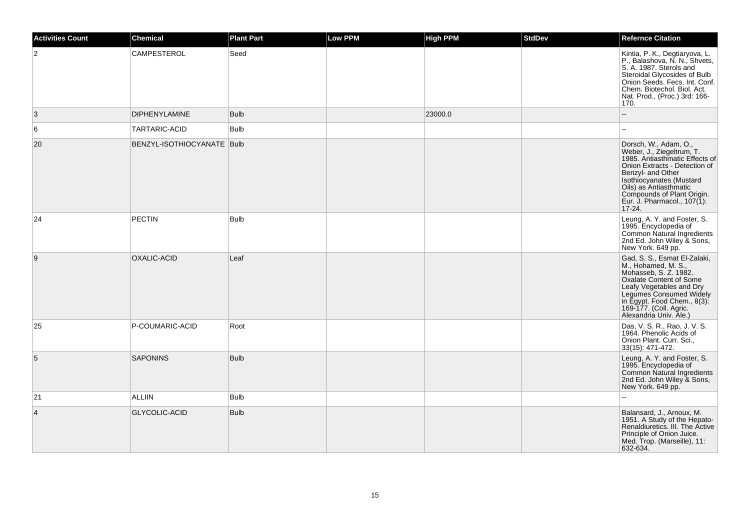| <b>Activities Count</b> | Chemical                   | <b>Plant Part</b> | <b>Low PPM</b> | <b>High PPM</b> | <b>StdDev</b> | <b>Refernce Citation</b>                                                                                                                                                                                                                                                |
|-------------------------|----------------------------|-------------------|----------------|-----------------|---------------|-------------------------------------------------------------------------------------------------------------------------------------------------------------------------------------------------------------------------------------------------------------------------|
| $\overline{2}$          | CAMPESTEROL                | Seed              |                |                 |               | Kintia, P. K., Degtiaryova, L.<br>P., Balashova, N. N., Shvets,<br>S. A. 1987. Sterols and<br>Steroidal Glycosides of Bulb<br>Onion Seeds. Fecs. Int. Conf.<br>Chem. Biotechol. Biol. Act.<br>Nat. Prod., (Proc.) 3rd: 166-<br>170.                                     |
| 3                       | <b>DIPHENYLAMINE</b>       | <b>Bulb</b>       |                | 23000.0         |               | Ξ.                                                                                                                                                                                                                                                                      |
| 6                       | TARTARIC-ACID              | <b>Bulb</b>       |                |                 |               |                                                                                                                                                                                                                                                                         |
| 20                      | BENZYL-ISOTHIOCYANATE Bulb |                   |                |                 |               | Dorsch, W., Adam, O.,<br>Weber, J., Ziegeltrum, T.<br>1985. Antiasthmatic Effects of<br>Onion Extracts - Detection of<br>Benzyl- and Other<br>Isothiocyanates (Mustard<br>Oils) as Antiasthmatic<br>Compounds of Plant Origin.<br>Eur. J. Pharmacol., 107(1):<br>17-24. |
| 24                      | <b>PECTIN</b>              | <b>Bulb</b>       |                |                 |               | Leung, A. Y. and Foster, S.<br>1995. Encyclopedia of<br>Common Natural Ingredients<br>2nd Ed. John Wiley & Sons,<br>New York. 649 pp.                                                                                                                                   |
| 9                       | OXALIC-ACID                | Leaf              |                |                 |               | Gad, S. S., Esmat El-Zalaki,<br>M., Hohamed, M. S.,<br>Mohasseb, S. Z. 1982.<br>Oxalate Content of Some<br>Leafy Vegetables and Dry<br>Legumes Consumed Widely<br>in Egypt. Food Chem., 8(3):<br>169-177. (Coll. Agric.<br>Alexandria Univ. Ale.)                       |
| 25                      | P-COUMARIC-ACID            | Root              |                |                 |               | Das, V. S. R., Rao, J. V. S.<br>1964. Phenolic Acids of<br>Onion Plant. Curr. Sci.,<br>33(15): 471-472.                                                                                                                                                                 |
| 5                       | <b>SAPONINS</b>            | <b>Bulb</b>       |                |                 |               | Leung, A. Y. and Foster, S.<br>1995. Encyclopedia of<br>Common Natural Ingredients<br>2nd Ed. John Wiley & Sons,<br>New York. 649 pp.                                                                                                                                   |
| 21                      | <b>ALLIIN</b>              | <b>Bulb</b>       |                |                 |               |                                                                                                                                                                                                                                                                         |
| $\overline{4}$          | <b>GLYCOLIC-ACID</b>       | <b>Bulb</b>       |                |                 |               | Balansard, J., Arnoux, M.<br>1951. A Study of the Hepato-<br>Renaldiuretics. III. The Active<br>Principle of Onion Juice.<br>Med. Trop. (Marseille), 11:<br>632-634.                                                                                                    |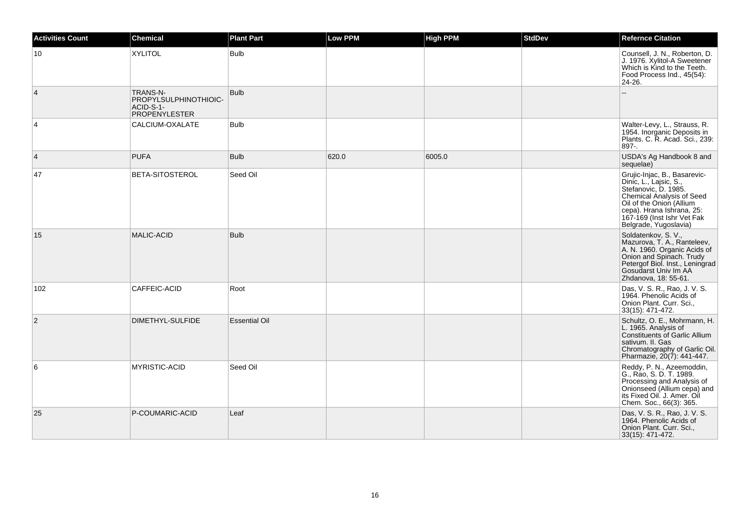| <b>Activities Count</b> | <b>Chemical</b>                                                               | <b>Plant Part</b>    | <b>Low PPM</b> | <b>High PPM</b> | <b>StdDev</b> | <b>Refernce Citation</b>                                                                                                                                                                                                    |
|-------------------------|-------------------------------------------------------------------------------|----------------------|----------------|-----------------|---------------|-----------------------------------------------------------------------------------------------------------------------------------------------------------------------------------------------------------------------------|
| 10                      | <b>XYLITOL</b>                                                                | <b>Bulb</b>          |                |                 |               | Counsell, J. N., Roberton, D.<br>J. 1976. Xylitol-A Sweetener<br>Which is Kind to the Teeth.<br>Food Process Ind., 45(54):<br>24-26.                                                                                        |
| 4                       | <b>TRANS-N-</b><br>PROPYLSULPHINOTHIOIC-<br>ACID-S-1-<br><b>PROPENYLESTER</b> | <b>Bulb</b>          |                |                 |               |                                                                                                                                                                                                                             |
| 4                       | CALCIUM-OXALATE                                                               | <b>Bulb</b>          |                |                 |               | Walter-Levy, L., Strauss, R.<br>1954. Inorganic Deposits in<br>Plants. C. R. Acad. Sci., 239:<br>$897 -$                                                                                                                    |
| 4                       | <b>PUFA</b>                                                                   | <b>Bulb</b>          | 620.0          | 6005.0          |               | USDA's Ag Handbook 8 and<br>sequelae)                                                                                                                                                                                       |
| 47                      | <b>BETA-SITOSTEROL</b>                                                        | Seed Oil             |                |                 |               | Grujic-Injac, B., Basarevic-<br>Dinic, L., Lajsic, S.,<br>Stefanovic, D. 1985.<br>Chemical Analysis of Seed<br>Oil of the Onion (Allium<br>cepa). Hrana Ishrana, 25:<br>167-169 (Inst Ishr Vet Fak<br>Belgrade, Yugoslavia) |
| 15                      | <b>MALIC-ACID</b>                                                             | <b>Bulb</b>          |                |                 |               | Soldatenkov, S. V.,<br>Mazurova, T. A., Ranteleev,<br>A. N. 1960. Organic Acids of<br>Onion and Spinach. Trudy<br>Petergof Biol. Inst., Leningrad<br>Gosudarst Univ Im AA<br>Zhdanova, 18: 55-61.                           |
| 102                     | CAFFEIC-ACID                                                                  | Root                 |                |                 |               | Das, V. S. R., Rao, J. V. S.<br>1964. Phenolic Acids of<br>Onion Plant. Curr. Sci.,<br>33(15): 471-472.                                                                                                                     |
| $\overline{2}$          | DIMETHYL-SULFIDE                                                              | <b>Essential Oil</b> |                |                 |               | Schultz, O. E., Mohrmann, H.<br>L. 1965. Analysis of<br><b>Constituents of Garlic Allium</b><br>sativum. II. Gas<br>Chromatography of Garlic Oil.<br>Pharmazie, 20(7): 441-447.                                             |
| 6                       | <b>MYRISTIC-ACID</b>                                                          | Seed Oil             |                |                 |               | Reddy, P. N., Azeemoddin,<br>G., Rao, S. D. T. 1989.<br>Processing and Analysis of<br>Onionseed (Allium cepa) and<br>its Fixed Oil. J. Amer. Oil<br>Chem. Soc., 66(3): 365.                                                 |
| 25                      | P-COUMARIC-ACID                                                               | Leaf                 |                |                 |               | Das, V. S. R., Rao, J. V. S.<br>1964. Phenolic Acids of<br>Onion Plant. Curr. Sci.,<br>33(15): 471-472.                                                                                                                     |